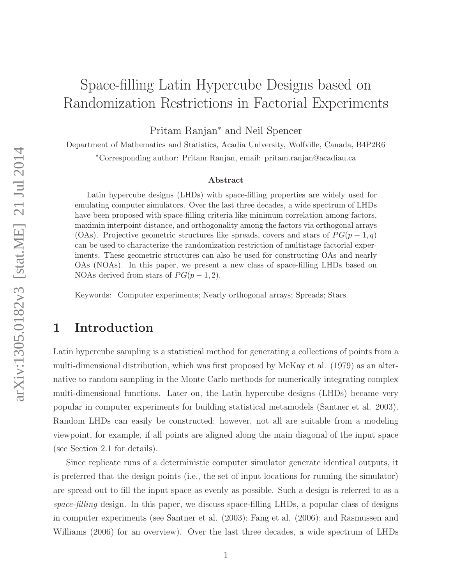# Space-filling Latin Hypercube Designs based on Randomization Restrictions in Factorial Experiments

Pritam Ranjan<sup>∗</sup> and Neil Spencer

Department of Mathematics and Statistics, Acadia University, Wolfville, Canada, B4P2R6 <sup>∗</sup>Corresponding author: Pritam Ranjan, email: pritam.ranjan@acadiau.ca

#### Abstract

Latin hypercube designs (LHDs) with space-filling properties are widely used for emulating computer simulators. Over the last three decades, a wide spectrum of LHDs have been proposed with space-filling criteria like minimum correlation among factors, maximin interpoint distance, and orthogonality among the factors via orthogonal arrays (OAs). Projective geometric structures like spreads, covers and stars of  $PG(p-1,q)$ can be used to characterize the randomization restriction of multistage factorial experiments. These geometric structures can also be used for constructing OAs and nearly OAs (NOAs). In this paper, we present a new class of space-filling LHDs based on NOAs derived from stars of  $PG(p-1, 2)$ .

Keywords: Computer experiments; Nearly orthogonal arrays; Spreads; Stars.

# 1 Introduction

Latin hypercube sampling is a statistical method for generating a collections of points from a multi-dimensional distribution, which was first proposed by McKay et al. (1979) as an alternative to random sampling in the Monte Carlo methods for numerically integrating complex multi-dimensional functions. Later on, the Latin hypercube designs (LHDs) became very popular in computer experiments for building statistical metamodels (Santner et al. 2003). Random LHDs can easily be constructed; however, not all are suitable from a modeling viewpoint, for example, if all points are aligned along the main diagonal of the input space (see Section 2.1 for details).

Since replicate runs of a deterministic computer simulator generate identical outputs, it is preferred that the design points (i.e., the set of input locations for running the simulator) are spread out to fill the input space as evenly as possible. Such a design is referred to as a space-filling design. In this paper, we discuss space-filling LHDs, a popular class of designs in computer experiments (see Santner et al. (2003); Fang et al. (2006); and Rasmussen and Williams (2006) for an overview). Over the last three decades, a wide spectrum of LHDs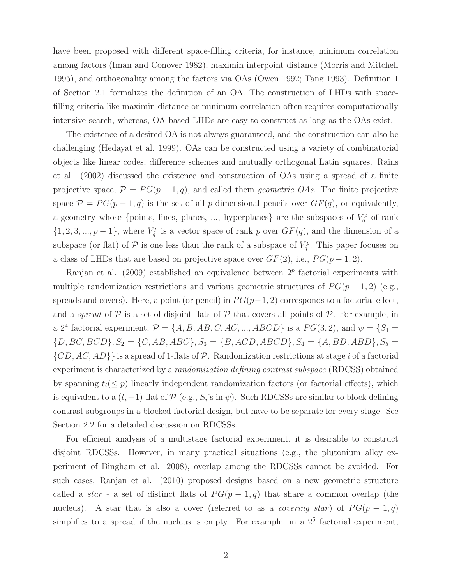have been proposed with different space-filling criteria, for instance, minimum correlation among factors (Iman and Conover 1982), maximin interpoint distance (Morris and Mitchell 1995), and orthogonality among the factors via OAs (Owen 1992; Tang 1993). Definition 1 of Section 2.1 formalizes the definition of an OA. The construction of LHDs with spacefilling criteria like maximin distance or minimum correlation often requires computationally intensive search, whereas, OA-based LHDs are easy to construct as long as the OAs exist.

The existence of a desired OA is not always guaranteed, and the construction can also be challenging (Hedayat et al. 1999). OAs can be constructed using a variety of combinatorial objects like linear codes, difference schemes and mutually orthogonal Latin squares. Rains et al. (2002) discussed the existence and construction of OAs using a spread of a finite projective space,  $\mathcal{P} = PG(p-1, q)$ , and called them *geometric OAs*. The finite projective space  $\mathcal{P} = PG(p-1, q)$  is the set of all p-dimensional pencils over  $GF(q)$ , or equivalently, a geometry whose {points, lines, planes, ..., hyperplanes} are the subspaces of  $V_q^p$  of rank  $\{1, 2, 3, ..., p-1\}$ , where  $V_q^p$  is a vector space of rank p over  $GF(q)$ , and the dimension of a subspace (or flat) of  $P$  is one less than the rank of a subspace of  $V_q^p$ . This paper focuses on a class of LHDs that are based on projective space over  $GF(2)$ , i.e.,  $PG(p-1, 2)$ .

Ranjan et al.  $(2009)$  established an equivalence between  $2<sup>p</sup>$  factorial experiments with multiple randomization restrictions and various geometric structures of  $PG(p-1,2)$  (e.g., spreads and covers). Here, a point (or pencil) in  $PG(p-1, 2)$  corresponds to a factorial effect, and a spread of  $P$  is a set of disjoint flats of  $P$  that covers all points of  $P$ . For example, in a 2<sup>4</sup> factorial experiment,  $\mathcal{P} = \{A, B, AB, C, AC, ..., ABCD\}$  is a  $PG(3, 2)$ , and  $\psi = \{S_1 =$  ${D, BC, BCD}, S_2 = {C, AB, ABC}, S_3 = {B, ACD, ABCD}, S_4 = {A, BD, ABD}, S_5 =$  $\{CD, AC, AD\}$  is a spread of 1-flats of P. Randomization restrictions at stage i of a factorial experiment is characterized by a randomization defining contrast subspace (RDCSS) obtained by spanning  $t_i(\leq p)$  linearly independent randomization factors (or factorial effects), which is equivalent to a  $(t_i-1)$ -flat of  $P$  (e.g.,  $S_i$ 's in  $\psi$ ). Such RDCSSs are similar to block defining contrast subgroups in a blocked factorial design, but have to be separate for every stage. See Section 2.2 for a detailed discussion on RDCSSs.

For efficient analysis of a multistage factorial experiment, it is desirable to construct disjoint RDCSSs. However, in many practical situations (e.g., the plutonium alloy experiment of Bingham et al. 2008), overlap among the RDCSSs cannot be avoided. For such cases, Ranjan et al. (2010) proposed designs based on a new geometric structure called a *star* - a set of distinct flats of  $PG(p-1, q)$  that share a common overlap (the nucleus). A star that is also a cover (referred to as a *covering star*) of  $PG(p-1,q)$ simplifies to a spread if the nucleus is empty. For example, in a  $2<sup>5</sup>$  factorial experiment,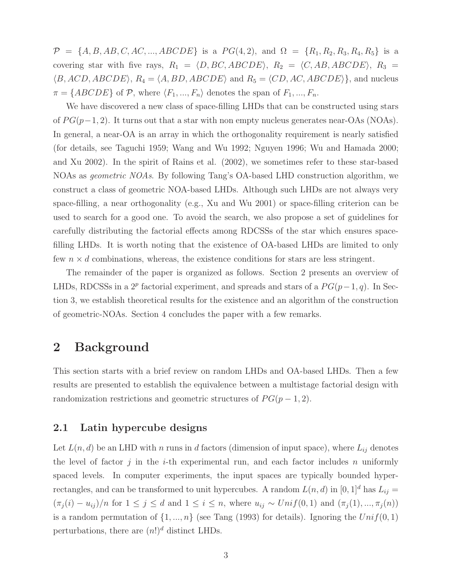$\mathcal{P} = \{A, B, AB, C, AC, ..., ABCDE\}$  is a  $PG(4, 2)$ , and  $\Omega = \{R_1, R_2, R_3, R_4, R_5\}$  is a covering star with five rays,  $R_1 = \langle D, BC, ABCDE \rangle$ ,  $R_2 = \langle C, AB, ABCDE \rangle$ ,  $R_3 =$  $\langle B, ACD, ABCDE \rangle$ ,  $R_4 = \langle A, BD, ABCDE \rangle$  and  $R_5 = \langle CD, AC, ABCDE \rangle$ , and nucleus  $\pi = \{ABCDE\}$  of P, where  $\langle F_1, ..., F_n \rangle$  denotes the span of  $F_1, ..., F_n$ .

We have discovered a new class of space-filling LHDs that can be constructed using stars of  $PG(p-1, 2)$ . It turns out that a star with non empty nucleus generates near-OAs (NOAs). In general, a near-OA is an array in which the orthogonality requirement is nearly satisfied (for details, see Taguchi 1959; Wang and Wu 1992; Nguyen 1996; Wu and Hamada 2000; and Xu 2002). In the spirit of Rains et al. (2002), we sometimes refer to these star-based NOAs as geometric NOAs. By following Tang's OA-based LHD construction algorithm, we construct a class of geometric NOA-based LHDs. Although such LHDs are not always very space-filling, a near orthogonality (e.g., Xu and Wu 2001) or space-filling criterion can be used to search for a good one. To avoid the search, we also propose a set of guidelines for carefully distributing the factorial effects among RDCSSs of the star which ensures spacefilling LHDs. It is worth noting that the existence of OA-based LHDs are limited to only few  $n \times d$  combinations, whereas, the existence conditions for stars are less stringent.

The remainder of the paper is organized as follows. Section 2 presents an overview of LHDs, RDCSSs in a  $2^p$  factorial experiment, and spreads and stars of a  $PG(p-1, q)$ . In Section 3, we establish theoretical results for the existence and an algorithm of the construction of geometric-NOAs. Section 4 concludes the paper with a few remarks.

### 2 Background

This section starts with a brief review on random LHDs and OA-based LHDs. Then a few results are presented to establish the equivalence between a multistage factorial design with randomization restrictions and geometric structures of  $PG(p-1, 2)$ .

#### 2.1 Latin hypercube designs

Let  $L(n, d)$  be an LHD with n runs in d factors (dimension of input space), where  $L_{ij}$  denotes the level of factor j in the i-th experimental run, and each factor includes n uniformly spaced levels. In computer experiments, the input spaces are typically bounded hyperrectangles, and can be transformed to unit hypercubes. A random  $L(n, d)$  in  $[0, 1]^d$  has  $L_{ij} =$  $(\pi_j(i) - u_{ij})/n$  for  $1 \leq j \leq d$  and  $1 \leq i \leq n$ , where  $u_{ij} \sim Unif(0,1)$  and  $(\pi_j(1), ..., \pi_j(n))$ is a random permutation of  $\{1, ..., n\}$  (see Tang (1993) for details). Ignoring the  $Unif(0, 1)$ perturbations, there are  $(n!)^d$  distinct LHDs.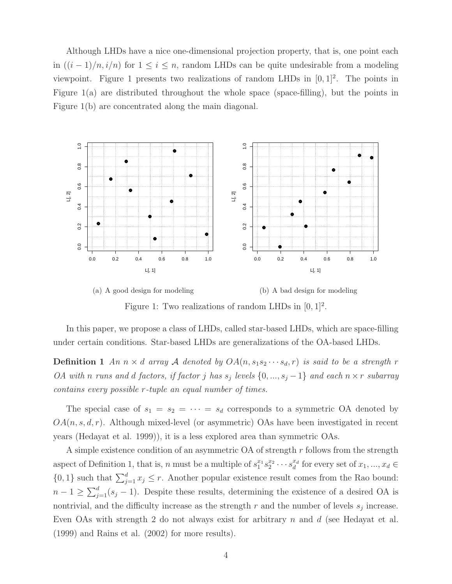Although LHDs have a nice one-dimensional projection property, that is, one point each in  $((i-1)/n, i/n)$  for  $1 \leq i \leq n$ , random LHDs can be quite undesirable from a modeling viewpoint. Figure 1 presents two realizations of random LHDs in  $[0, 1]^2$ . The points in Figure 1(a) are distributed throughout the whole space (space-filling), but the points in Figure 1(b) are concentrated along the main diagonal.



(a) A good design for modeling (b) A bad design for modeling Figure 1: Two realizations of random LHDs in  $[0,1]^2$ .

In this paper, we propose a class of LHDs, called star-based LHDs, which are space-filling under certain conditions. Star-based LHDs are generalizations of the OA-based LHDs.

**Definition 1** An  $n \times d$  array A denoted by  $OA(n, s_1 s_2 \cdots s_d, r)$  is said to be a strength r *OA* with n runs and d factors, if factor j has  $s_j$  levels  $\{0, ..., s_j - 1\}$  and each  $n \times r$  subarray contains every possible r-tuple an equal number of times.

The special case of  $s_1 = s_2 = \cdots = s_d$  corresponds to a symmetric OA denoted by  $OA(n, s, d, r)$ . Although mixed-level (or asymmetric) OAs have been investigated in recent years (Hedayat et al. 1999)), it is a less explored area than symmetric OAs.

A simple existence condition of an asymmetric OA of strength  $r$  follows from the strength aspect of Definition 1, that is, *n* must be a multiple of  $s_1^{x_1}$  $rac{x_1}{1} s_2^{x_2}$  $x_2^{x_2} \cdots s_d^{x_d}$  for every set of  $x_1, ..., x_d \in$  $\{0,1\}$  such that  $\sum_{j=1}^{d} x_j \leq r$ . Another popular existence result comes from the Rao bound:  $n-1 \geq \sum_{j=1}^{d} (s_j-1)$ . Despite these results, determining the existence of a desired OA is nontrivial, and the difficulty increase as the strength  $r$  and the number of levels  $s_j$  increase. Even OAs with strength 2 do not always exist for arbitrary  $n$  and  $d$  (see Hedayat et al. (1999) and Rains et al. (2002) for more results).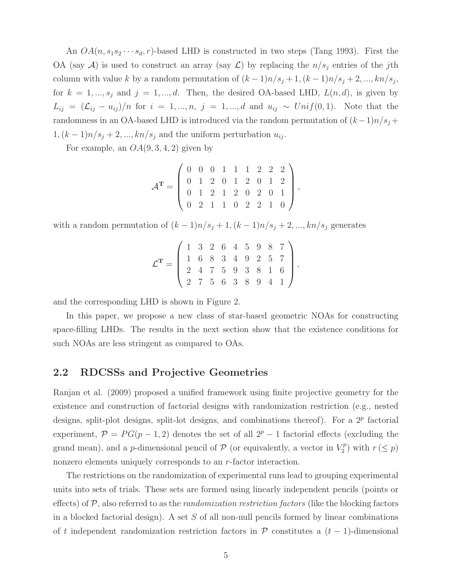An  $OA(n, s_1s_2\cdots s_d, r)$ -based LHD is constructed in two steps (Tang 1993). First the OA (say A) is used to construct an array (say  $\mathcal{L}$ ) by replacing the  $n/s_j$  entries of the jth column with value k by a random permutation of  $(k-1)n/s_j + 1$ ,  $(k-1)n/s_j + 2$ , ...,  $kn/s_j$ , for  $k = 1, ..., s_j$  and  $j = 1, ..., d$ . Then, the desired OA-based LHD,  $L(n, d)$ , is given by  $L_{ij} = (\mathcal{L}_{ij} - u_{ij})/n$  for  $i = 1, ..., n, j = 1, ..., d$  and  $u_{ij} \sim Unif(0,1)$ . Note that the randomness in an OA-based LHD is introduced via the random permutation of  $(k-1)n/s_j$  +  $1,(k-1)n/s_j+2,...,kn/s_j$  and the uniform perturbation  $u_{ij}$ .

For example, an  $OA(9, 3, 4, 2)$  given by

$$
\mathcal{A}^{\mathbf{T}} = \left( \begin{array}{cccccc} 0 & 0 & 0 & 1 & 1 & 1 & 2 & 2 & 2 \\ 0 & 1 & 2 & 0 & 1 & 2 & 0 & 1 & 2 \\ 0 & 1 & 2 & 1 & 2 & 0 & 2 & 0 & 1 \\ 0 & 2 & 1 & 1 & 0 & 2 & 2 & 1 & 0 \end{array} \right),
$$

with a random permutation of  $(k-1)n/s_j + 1$ ,  $(k-1)n/s_j + 2$ , ...,  $kn/s_j$  generates

$$
\mathcal{L}^{\mathbf{T}} = \left( \begin{array}{cccccc} 1 & 3 & 2 & 6 & 4 & 5 & 9 & 8 & 7 \\ 1 & 6 & 8 & 3 & 4 & 9 & 2 & 5 & 7 \\ 2 & 4 & 7 & 5 & 9 & 3 & 8 & 1 & 6 \\ 2 & 7 & 5 & 6 & 3 & 8 & 9 & 4 & 1 \end{array} \right),
$$

and the corresponding LHD is shown in Figure 2.

In this paper, we propose a new class of star-based geometric NOAs for constructing space-filling LHDs. The results in the next section show that the existence conditions for such NOAs are less stringent as compared to OAs.

#### 2.2 RDCSSs and Projective Geometries

Ranjan et al. (2009) proposed a unified framework using finite projective geometry for the existence and construction of factorial designs with randomization restriction (e.g., nested designs, split-plot designs, split-lot designs, and combinations thereof). For a  $2^p$  factorial experiment,  $\mathcal{P} = PG(p-1, 2)$  denotes the set of all  $2^p - 1$  factorial effects (excluding the grand mean), and a *p*-dimensional pencil of  $P$  (or equivalently, a vector in  $V_2^p$  $r_2^{\prime p}$ ) with  $r \leq p$ ) nonzero elements uniquely corresponds to an r-factor interaction.

The restrictions on the randomization of experimental runs lead to grouping experimental units into sets of trials. These sets are formed using linearly independent pencils (points or effects) of  $P$ , also referred to as the *randomization restriction factors* (like the blocking factors in a blocked factorial design). A set  $S$  of all non-null pencils formed by linear combinations of t independent randomization restriction factors in  $\mathcal P$  constitutes a  $(t-1)$ -dimensional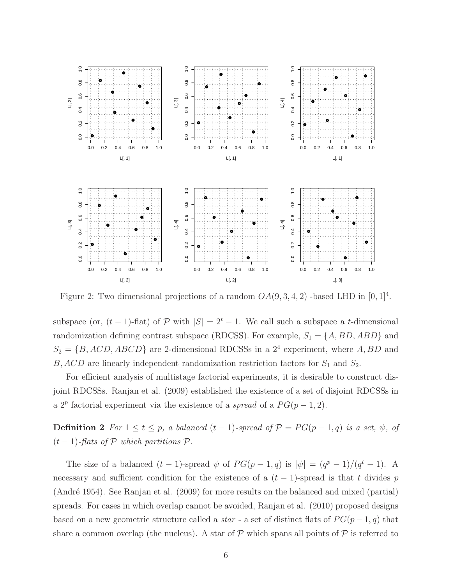

Figure 2: Two dimensional projections of a random  $OA(9, 3, 4, 2)$  -based LHD in  $[0, 1]^4$ .

subspace (or,  $(t-1)$ -flat) of P with  $|S| = 2<sup>t</sup> - 1$ . We call such a subspace a t-dimensional randomization defining contrast subspace (RDCSS). For example,  $S_1 = \{A, BD, ABD\}$  and  $S_2 = \{B, ACD, ABCD\}$  are 2-dimensional RDCSSs in a 2<sup>4</sup> experiment, where A, BD and  $B, ACD$  are linearly independent randomization restriction factors for  $S_1$  and  $S_2$ .

For efficient analysis of multistage factorial experiments, it is desirable to construct disjoint RDCSSs. Ranjan et al. (2009) established the existence of a set of disjoint RDCSSs in a  $2^p$  factorial experiment via the existence of a spread of a  $PG(p-1, 2)$ .

**Definition 2** For  $1 \le t \le p$ , a balanced  $(t-1)$ -spread of  $\mathcal{P} = PG(p-1, q)$  is a set,  $\psi$ , of  $(t-1)$ -flats of  $P$  which partitions  $P$ .

The size of a balanced  $(t-1)$ -spread  $\psi$  of  $PG(p-1,q)$  is  $|\psi| = (q^p-1)/(q^t-1)$ . A necessary and sufficient condition for the existence of a  $(t-1)$ -spread is that t divides p (André 1954). See Ranjan et al.  $(2009)$  for more results on the balanced and mixed (partial) spreads. For cases in which overlap cannot be avoided, Ranjan et al. (2010) proposed designs based on a new geometric structure called a *star* - a set of distinct flats of  $PG(p-1, q)$  that share a common overlap (the nucleus). A star of  $P$  which spans all points of  $P$  is referred to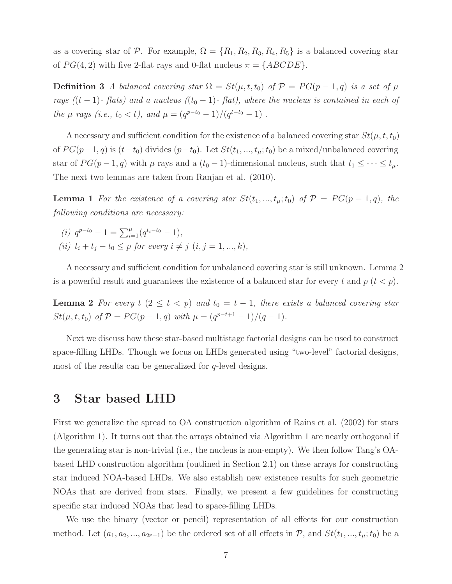as a covering star of P. For example,  $\Omega = \{R_1, R_2, R_3, R_4, R_5\}$  is a balanced covering star of  $PG(4, 2)$  with five 2-flat rays and 0-flat nucleus  $\pi = \{ABCDE\}.$ 

**Definition 3** A balanced covering star  $\Omega = St(\mu, t, t_0)$  of  $\mathcal{P} = PG(p-1, q)$  is a set of  $\mu$ rays ((t - 1)- flats) and a nucleus ((t<sub>0</sub> - 1)- flat), where the nucleus is contained in each of the  $\mu$  rays (i.e.,  $t_0 < t$ ), and  $\mu = (q^{p-t_0} - 1)/(q^{t-t_0} - 1)$ .

A necessary and sufficient condition for the existence of a balanced covering star  $St(\mu, t, t_0)$ of  $PG(p-1, q)$  is  $(t-t_0)$  divides  $(p-t_0)$ . Let  $St(t_1, ..., t_{\mu}; t_0)$  be a mixed/unbalanced covering star of  $PG(p-1, q)$  with  $\mu$  rays and a  $(t_0 - 1)$ -dimensional nucleus, such that  $t_1 \leq \cdots \leq t_{\mu}$ . The next two lemmas are taken from Ranjan et al. (2010).

**Lemma 1** For the existence of a covering star  $St(t_1, ..., t_n; t_0)$  of  $P = PG(p-1, q)$ , the following conditions are necessary:

(i)  $q^{p-t_0} - 1 = \sum_{i=1}^{\mu} (q^{t_i-t_0} - 1),$ (ii)  $t_i + t_j - t_0 \leq p$  for every  $i \neq j$   $(i, j = 1, ..., k)$ ,

A necessary and sufficient condition for unbalanced covering star is still unknown. Lemma 2 is a powerful result and guarantees the existence of a balanced star for every t and  $p$  ( $t < p$ ).

**Lemma 2** For every  $t$   $(2 \leq t < p)$  and  $t_0 = t - 1$ , there exists a balanced covering star  $St(\mu, t, t_0)$  of  $\mathcal{P} = PG(p-1, q)$  with  $\mu = (q^{p-t+1} - 1)/(q-1)$ .

Next we discuss how these star-based multistage factorial designs can be used to construct space-filling LHDs. Though we focus on LHDs generated using "two-level" factorial designs, most of the results can be generalized for  $q$ -level designs.

# 3 Star based LHD

First we generalize the spread to OA construction algorithm of Rains et al. (2002) for stars (Algorithm 1). It turns out that the arrays obtained via Algorithm 1 are nearly orthogonal if the generating star is non-trivial (i.e., the nucleus is non-empty). We then follow Tang's OAbased LHD construction algorithm (outlined in Section 2.1) on these arrays for constructing star induced NOA-based LHDs. We also establish new existence results for such geometric NOAs that are derived from stars. Finally, we present a few guidelines for constructing specific star induced NOAs that lead to space-filling LHDs.

We use the binary (vector or pencil) representation of all effects for our construction method. Let  $(a_1, a_2, ..., a_{2p-1})$  be the ordered set of all effects in  $P$ , and  $St(t_1, ..., t_{\mu}; t_0)$  be a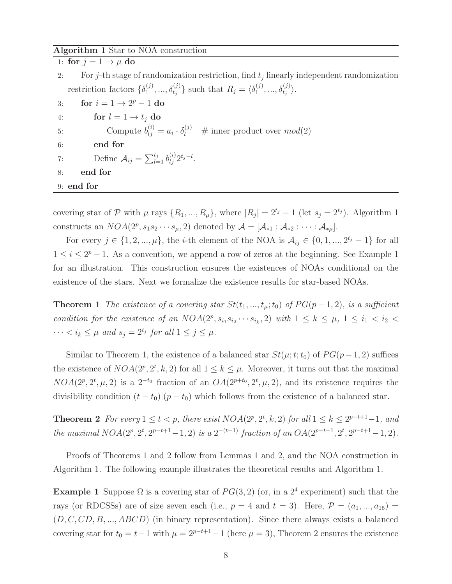#### Algorithm 1 Star to NOA construction

| 1: for $j = 1 \rightarrow \mu$ do                                                                                                   |  |
|-------------------------------------------------------------------------------------------------------------------------------------|--|
| For j-th stage of randomization restriction, find $t_i$ linearly independent randomization<br>2:                                    |  |
| restriction factors $\{\delta_1^{(j)},,\delta_{t_i}^{(j)}\}$ such that $R_i = \langle \delta_1^{(j)},,\delta_{t_i}^{(j)} \rangle$ . |  |
| for $i = 1 \rightarrow 2^p - 1$ do<br>3:                                                                                            |  |
| for $l = 1 \rightarrow t_i$ do<br>4:                                                                                                |  |
| Compute $b_{i}^{(i)} = a_i \cdot \delta_l^{(j)}$ # inner product over $mod(2)$<br>5:                                                |  |
| end for<br>6:                                                                                                                       |  |
| Define $A_{ij} = \sum_{l=1}^{t_j} b_{li}^{(i)} 2^{t_j - l}$ .<br>7:                                                                 |  |
| end for<br>8:                                                                                                                       |  |
| $9:$ end for                                                                                                                        |  |

covering star of P with  $\mu$  rays  $\{R_1, ..., R_{\mu}\}\$ , where  $|R_j| = 2^{t_j} - 1$  (let  $s_j = 2^{t_j}$ ). Algorithm 1 constructs an  $NOA(2^p, s_1s_2\cdots s_\mu, 2)$  denoted by  $\mathcal{A} = [\mathcal{A}_{*1} : \mathcal{A}_{*2} : \cdots : \mathcal{A}_{*\mu}].$ 

For every  $j \in \{1, 2, ..., \mu\}$ , the *i*-th element of the NOA is  $\mathcal{A}_{ij} \in \{0, 1, ..., 2^{t_j} - 1\}$  for all  $1 \leq i \leq 2^p - 1$ . As a convention, we append a row of zeros at the beginning. See Example 1 for an illustration. This construction ensures the existences of NOAs conditional on the existence of the stars. Next we formalize the existence results for star-based NOAs.

**Theorem 1** The existence of a covering star  $St(t_1, ..., t_\mu; t_0)$  of  $PG(p-1, 2)$ , is a sufficient condition for the existence of an  $NOA(2^p, s_{i_1}s_{i_2}\cdots s_{i_k}, 2)$  with  $1 \leq k \leq \mu$ ,  $1 \leq i_1 < i_2$  $\cdots < i_k \leq \mu$  and  $s_j = 2^{t_j}$  for all  $1 \leq j \leq \mu$ .

Similar to Theorem 1, the existence of a balanced star  $St(\mu; t; t_0)$  of  $PG(p-1, 2)$  suffices the existence of  $NOA(2^p, 2^t, k, 2)$  for all  $1 \leq k \leq \mu$ . Moreover, it turns out that the maximal  $NOA(2^p, 2^t, \mu, 2)$  is a  $2^{-t_0}$  fraction of an  $OA(2^{p+t_0}, 2^t, \mu, 2)$ , and its existence requires the divisibility condition  $(t - t_0)(p - t_0)$  which follows from the existence of a balanced star.

**Theorem 2** For every  $1 \le t < p$ , there exist  $NOA(2^p, 2^t, k, 2)$  for all  $1 \le k \le 2^{p-t+1}-1$ , and the maximal  $NOA(2^p, 2^t, 2^{p-t+1}-1, 2)$  is a  $2^{-(t-1)}$  fraction of an  $OA(2^{p+t-1}, 2^t, 2^{p-t+1}-1, 2)$ .

Proofs of Theorems 1 and 2 follow from Lemmas 1 and 2, and the NOA construction in Algorithm 1. The following example illustrates the theoretical results and Algorithm 1.

**Example 1** Suppose  $\Omega$  is a covering star of  $PG(3, 2)$  (or, in a  $2<sup>4</sup>$  experiment) such that the rays (or RDCSSs) are of size seven each (i.e.,  $p = 4$  and  $t = 3$ ). Here,  $\mathcal{P} = (a_1, ..., a_{15}) =$  $(D, C, CD, B, ..., ABCD)$  (in binary representation). Since there always exists a balanced covering star for  $t_0 = t-1$  with  $\mu = 2^{p-t+1}-1$  (here  $\mu = 3$ ), Theorem 2 ensures the existence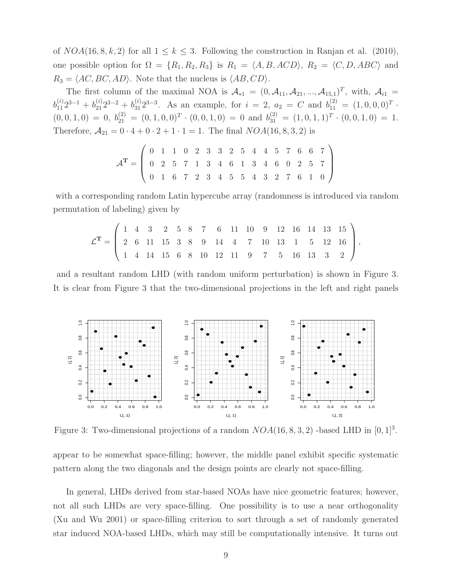of  $NOA(16, 8, k, 2)$  for all  $1 \leq k \leq 3$ . Following the construction in Ranjan et al. (2010), one possible option for  $\Omega = \{R_1, R_2, R_3\}$  is  $R_1 = \langle A, B, ACD \rangle$ ,  $R_2 = \langle C, D, ABC \rangle$  and  $R_3 = \langle AC, BC, AD \rangle$ . Note that the nucleus is  $\langle AB, CD \rangle$ .

The first column of the maximal NOA is  $\mathcal{A}_{*1} = (0, \mathcal{A}_{11}, \mathcal{A}_{21}, ..., \mathcal{A}_{15,1})^T$ , with,  $\mathcal{A}_{i1} =$  $b_{11}^{(i)}2^{3-1} + b_{21}^{(i)}2^{3-2} + b_{31}^{(i)}2^{3-3}$ . As an example, for  $i = 2$ ,  $a_2 = C$  and  $b_{11}^{(2)} = (1, 0, 0, 0)^T$ .  $(0,0,1,0) = 0, b_{21}^{(2)} = (0,1,0,0)^T \cdot (0,0,1,0) = 0$  and  $b_{31}^{(2)} = (1,0,1,1)^T \cdot (0,0,1,0) = 1$ . Therefore,  $A_{21} = 0 \cdot 4 + 0 \cdot 2 + 1 \cdot 1 = 1$ . The final  $NOA(16, 8, 3, 2)$  is

$$
\mathcal{A}^{\mathbf{T}} = \left( \begin{array}{ccccccccccccc} 0 & 1 & 1 & 0 & 2 & 3 & 3 & 2 & 5 & 4 & 4 & 5 & 7 & 6 & 6 & 7 \\ 0 & 2 & 5 & 7 & 1 & 3 & 4 & 6 & 1 & 3 & 4 & 6 & 0 & 2 & 5 & 7 \\ 0 & 1 & 6 & 7 & 2 & 3 & 4 & 5 & 5 & 4 & 3 & 2 & 7 & 6 & 1 & 0 \end{array} \right)
$$

with a corresponding random Latin hypercube array (randomness is introduced via random permutation of labeling) given by

$$
\mathcal{L}^{\mathbf{T}} = \left( \begin{array}{ccccccccccccc} 1 & 4 & 3 & 2 & 5 & 8 & 7 & 6 & 11 & 10 & 9 & 12 & 16 & 14 & 13 & 15 \\ 2 & 6 & 11 & 15 & 3 & 8 & 9 & 14 & 4 & 7 & 10 & 13 & 1 & 5 & 12 & 16 \\ 1 & 4 & 14 & 15 & 6 & 8 & 10 & 12 & 11 & 9 & 7 & 5 & 16 & 13 & 3 & 2 \end{array} \right),
$$

and a resultant random LHD (with random uniform perturbation) is shown in Figure 3. It is clear from Figure 3 that the two-dimensional projections in the left and right panels



Figure 3: Two-dimensional projections of a random  $NOA(16, 8, 3, 2)$  -based LHD in  $[0, 1]^3$ .

appear to be somewhat space-filling; however, the middle panel exhibit specific systematic pattern along the two diagonals and the design points are clearly not space-filling.

In general, LHDs derived from star-based NOAs have nice geometric features; however, not all such LHDs are very space-filling. One possibility is to use a near orthogonality (Xu and Wu 2001) or space-filling criterion to sort through a set of randomly generated star induced NOA-based LHDs, which may still be computationally intensive. It turns out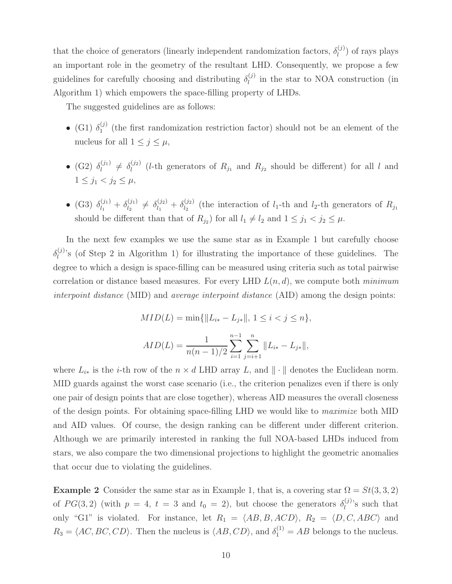that the choice of generators (linearly independent randomization factors,  $\delta_l^{(j)}$ )  $\binom{J}{l}$  of rays plays an important role in the geometry of the resultant LHD. Consequently, we propose a few guidelines for carefully choosing and distributing  $\delta_l^{(j)}$  $\binom{0}{l}$  in the star to NOA construction (in Algorithm 1) which empowers the space-filling property of LHDs.

The suggested guidelines are as follows:

- $\bullet$  (G1)  $\delta_1^{(j)}$  $1<sup>(J)</sup>$  (the first randomization restriction factor) should not be an element of the nucleus for all  $1 \leq j \leq \mu$ ,
- $\bullet$  (G2)  $\delta_l^{(j_1)}$  $\delta_l^{(j_1)} \neq \delta_l^{(j_2)}$  $\binom{1}{l}$  (*l*-th generators of  $R_{j_1}$  and  $R_{j_2}$  should be different) for all *l* and  $1 \leq j_1 < j_2 \leq \mu$ ,
- (G3)  $\delta_{l_1}^{(j_1)} + \delta_{l_2}^{(j_1)}$  $\begin{array}{l} \delta_{l_1}^{(j_1)} \neq \delta_{l_1}^{(j_2)} + \delta_{l_2}^{(j_2)} \end{array}$  $\binom{1}{l_2}$  (the interaction of  $l_1$ -th and  $l_2$ -th generators of  $R_{j_1}$ should be different than that of  $R_{j_2}$ ) for all  $l_1 \neq l_2$  and  $1 \leq j_1 < j_2 \leq \mu$ .

In the next few examples we use the same star as in Example 1 but carefully choose  $\delta_l^{(j)}$  $\binom{[j]}{l}$ 's (of Step 2 in Algorithm 1) for illustrating the importance of these guidelines. The degree to which a design is space-filling can be measured using criteria such as total pairwise correlation or distance based measures. For every LHD  $L(n, d)$ , we compute both minimum interpoint distance (MID) and average interpoint distance (AID) among the design points:

$$
MID(L) = \min\{\|L_{i*} - L_{j*}\|, 1 \le i < j \le n\},\
$$

$$
AID(L) = \frac{1}{n(n-1)/2} \sum_{i=1}^{n-1} \sum_{j=i+1}^{n} \|L_{i*} - L_{j*}\|,
$$

where  $L_{i*}$  is the *i*-th row of the  $n \times d$  LHD array L, and  $\|\cdot\|$  denotes the Euclidean norm. MID guards against the worst case scenario (i.e., the criterion penalizes even if there is only one pair of design points that are close together), whereas AID measures the overall closeness of the design points. For obtaining space-filling LHD we would like to maximize both MID and AID values. Of course, the design ranking can be different under different criterion. Although we are primarily interested in ranking the full NOA-based LHDs induced from stars, we also compare the two dimensional projections to highlight the geometric anomalies that occur due to violating the guidelines.

**Example 2** Consider the same star as in Example 1, that is, a covering star  $\Omega = St(3, 3, 2)$ of  $PG(3, 2)$  (with  $p = 4$ ,  $t = 3$  and  $t_0 = 2$ ), but choose the generators  $\delta_l^{(j)}$  $\binom{J}{l}$ 's such that only "G1" is violated. For instance, let  $R_1 = \langle AB, B, ACD \rangle$ ,  $R_2 = \langle D, C, ABC \rangle$  and  $R_3 = \langle AC, BC, CD \rangle$ . Then the nucleus is  $\langle AB, CD \rangle$ , and  $\delta_1^{(1)} = AB$  belongs to the nucleus.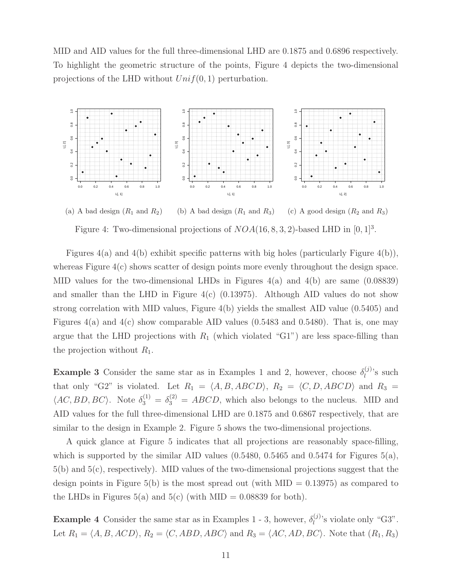MID and AID values for the full three-dimensional LHD are 0.1875 and 0.6896 respectively. To highlight the geometric structure of the points, Figure 4 depicts the two-dimensional projections of the LHD without  $Unif(0, 1)$  perturbation.



(a) A bad design  $(R_1 \text{ and } R_2)$ (b) A bad design  $(R_1 \text{ and } R_3)$ (c) A good design  $(R_2 \text{ and } R_3)$ Figure 4: Two-dimensional projections of  $NOA(16, 8, 3, 2)$ -based LHD in  $[0, 1]^3$ .

Figures 4(a) and 4(b) exhibit specific patterns with big holes (particularly Figure 4(b)), whereas Figure 4(c) shows scatter of design points more evenly throughout the design space. MID values for the two-dimensional LHDs in Figures  $4(a)$  and  $4(b)$  are same (0.08839) and smaller than the LHD in Figure  $4(c)$  (0.13975). Although AID values do not show strong correlation with MID values, Figure 4(b) yields the smallest AID value (0.5405) and Figures 4(a) and 4(c) show comparable AID values (0.5483 and 0.5480). That is, one may argue that the LHD projections with  $R_1$  (which violated "G1") are less space-filling than the projection without  $R_1$ .

**Example 3** Consider the same star as in Examples 1 and 2, however, choose  $\delta_l^{(j)}$  $\binom{J}{l}$ 's such that only "G2" is violated. Let  $R_1 = \langle A, B, ABCD \rangle$ ,  $R_2 = \langle C, D, ABCD \rangle$  and  $R_3 =$  $\langle AC, BD, BC \rangle$ . Note  $\delta_3^{(1)} = \delta_3^{(2)} = ABCD$ , which also belongs to the nucleus. MID and AID values for the full three-dimensional LHD are 0.1875 and 0.6867 respectively, that are similar to the design in Example 2. Figure 5 shows the two-dimensional projections.

A quick glance at Figure 5 indicates that all projections are reasonably space-filling, which is supported by the similar AID values  $(0.5480, 0.5465, 0.5474)$  for Figures  $5(a)$ , 5(b) and 5(c), respectively). MID values of the two-dimensional projections suggest that the design points in Figure 5(b) is the most spread out (with  $MID = 0.13975$ ) as compared to the LHDs in Figures 5(a) and 5(c) (with MID =  $0.08839$  for both).

**Example 4** Consider the same star as in Examples 1 - 3, however,  $\delta_l^{(j)}$  $\binom{[J]}{l}$ 's violate only "G3". Let  $R_1 = \langle A, B, ACD \rangle$ ,  $R_2 = \langle C, ABD, ABC \rangle$  and  $R_3 = \langle AC, AD, BC \rangle$ . Note that  $(R_1, R_3)$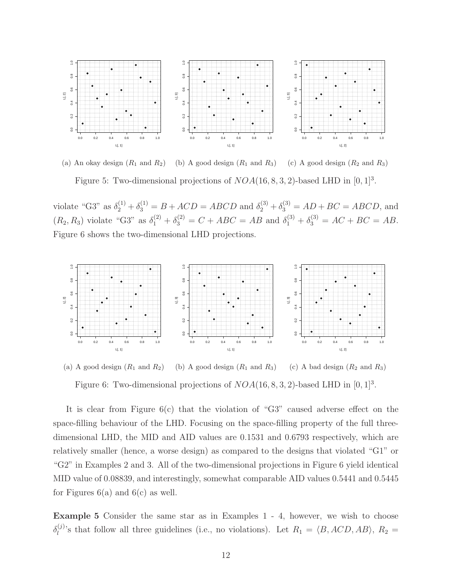

(a) An okay design  $(R_1 \text{ and } R_2)$  (b) A good design  $(R_1 \text{ and } R_3)$ (c) A good design  $(R_2 \text{ and } R_3)$ Figure 5: Two-dimensional projections of  $NOA(16, 8, 3, 2)$ -based LHD in  $[0, 1]^3$ .

violate "G3" as  $\delta_2^{(1)} + \delta_3^{(1)} = B + ACD = ABCD$  and  $\delta_2^{(3)} + \delta_3^{(3)} = AD + BC = ABCD$ , and  $(R_2, R_3)$  violate "G3" as  $\delta_1^{(2)} + \delta_3^{(2)} = C + ABC = AB$  and  $\delta_1^{(3)} + \delta_3^{(3)} = AC + BC = AB$ . Figure 6 shows the two-dimensional LHD projections.



(a) A good design  $(R_1 \text{ and } R_2)$ (b) A good design  $(R_1 \text{ and } R_3)$ (c) A bad design  $(R_2 \text{ and } R_3)$ Figure 6: Two-dimensional projections of  $NOA(16, 8, 3, 2)$ -based LHD in  $[0, 1]^3$ .

It is clear from Figure  $6(c)$  that the violation of "G3" caused adverse effect on the space-filling behaviour of the LHD. Focusing on the space-filling property of the full threedimensional LHD, the MID and AID values are 0.1531 and 0.6793 respectively, which are relatively smaller (hence, a worse design) as compared to the designs that violated "G1" or "G2" in Examples 2 and 3. All of the two-dimensional projections in Figure 6 yield identical MID value of 0.08839, and interestingly, somewhat comparable AID values 0.5441 and 0.5445 for Figures  $6(a)$  and  $6(c)$  as well.

Example 5 Consider the same star as in Examples 1 - 4, however, we wish to choose  $\delta_l^{(j)}$ <sup>(j)</sup>'s that follow all three guidelines (i.e., no violations). Let  $R_1 = \langle B, ACD, AB \rangle$ ,  $R_2 =$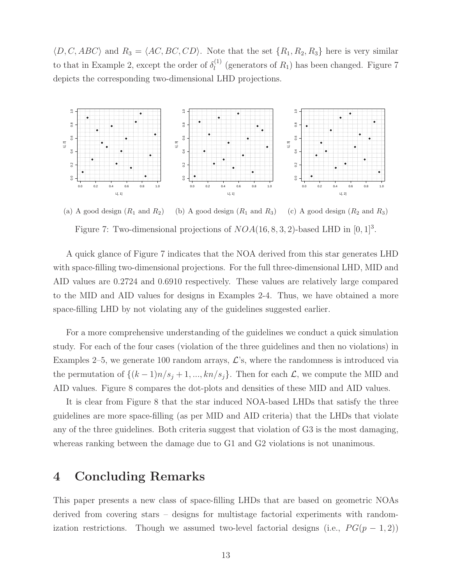$\langle D, C, ABC \rangle$  and  $R_3 = \langle AC, BC, CD \rangle$ . Note that the set  $\{R_1, R_2, R_3\}$  here is very similar to that in Example 2, except the order of  $\delta_l^{(1)}$  $\binom{11}{l}$  (generators of  $R_1$ ) has been changed. Figure 7 depicts the corresponding two-dimensional LHD projections.



(a) A good design  $(R_1 \text{ and } R_2)$ (b) A good design  $(R_1 \text{ and } R_3)$ (c) A good design  $(R_2 \text{ and } R_3)$ Figure 7: Two-dimensional projections of  $NOA(16, 8, 3, 2)$ -based LHD in  $[0, 1]^3$ .

A quick glance of Figure 7 indicates that the NOA derived from this star generates LHD with space-filling two-dimensional projections. For the full three-dimensional LHD, MID and AID values are 0.2724 and 0.6910 respectively. These values are relatively large compared to the MID and AID values for designs in Examples 2-4. Thus, we have obtained a more space-filling LHD by not violating any of the guidelines suggested earlier.

For a more comprehensive understanding of the guidelines we conduct a quick simulation study. For each of the four cases (violation of the three guidelines and then no violations) in Examples 2–5, we generate 100 random arrays,  $\mathcal{L}$ 's, where the randomness is introduced via the permutation of  $\{(k-1)n/s_j + 1, ..., kn/s_j\}$ . Then for each  $\mathcal{L}$ , we compute the MID and AID values. Figure 8 compares the dot-plots and densities of these MID and AID values.

It is clear from Figure 8 that the star induced NOA-based LHDs that satisfy the three guidelines are more space-filling (as per MID and AID criteria) that the LHDs that violate any of the three guidelines. Both criteria suggest that violation of G3 is the most damaging, whereas ranking between the damage due to G1 and G2 violations is not unanimous.

## 4 Concluding Remarks

This paper presents a new class of space-filling LHDs that are based on geometric NOAs derived from covering stars – designs for multistage factorial experiments with randomization restrictions. Though we assumed two-level factorial designs (i.e.,  $PG(p-1,2)$ )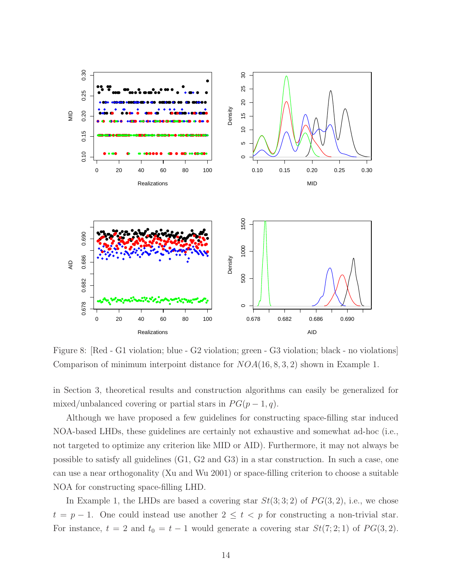

Figure 8: [Red - G1 violation; blue - G2 violation; green - G3 violation; black - no violations] Comparison of minimum interpoint distance for  $NOA(16, 8, 3, 2)$  shown in Example 1.

in Section 3, theoretical results and construction algorithms can easily be generalized for mixed/unbalanced covering or partial stars in  $PG(p-1, q)$ .

Although we have proposed a few guidelines for constructing space-filling star induced NOA-based LHDs, these guidelines are certainly not exhaustive and somewhat ad-hoc (i.e., not targeted to optimize any criterion like MID or AID). Furthermore, it may not always be possible to satisfy all guidelines (G1, G2 and G3) in a star construction. In such a case, one can use a near orthogonality (Xu and Wu 2001) or space-filling criterion to choose a suitable NOA for constructing space-filling LHD.

In Example 1, the LHDs are based a covering star  $St(3; 3; 2)$  of  $PG(3, 2)$ , i.e., we chose  $t = p - 1$ . One could instead use another  $2 \le t < p$  for constructing a non-trivial star. For instance,  $t = 2$  and  $t_0 = t - 1$  would generate a covering star  $St(7; 2; 1)$  of  $PG(3, 2)$ .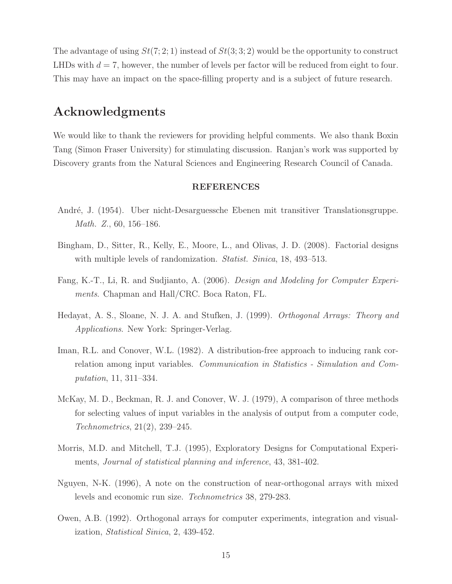The advantage of using  $St(7; 2; 1)$  instead of  $St(3; 3; 2)$  would be the opportunity to construct LHDs with  $d = 7$ , however, the number of levels per factor will be reduced from eight to four. This may have an impact on the space-filling property and is a subject of future research.

## Acknowledgments

We would like to thank the reviewers for providing helpful comments. We also thank Boxin Tang (Simon Fraser University) for stimulating discussion. Ranjan's work was supported by Discovery grants from the Natural Sciences and Engineering Research Council of Canada.

#### REFERENCES

- Andr´e, J. (1954). Uber nicht-Desarguessche Ebenen mit transitiver Translationsgruppe. Math. Z., 60, 156–186.
- Bingham, D., Sitter, R., Kelly, E., Moore, L., and Olivas, J. D. (2008). Factorial designs with multiple levels of randomization. *Statist. Sinica*, 18, 493–513.
- Fang, K.-T., Li, R. and Sudjianto, A. (2006). Design and Modeling for Computer Experiments. Chapman and Hall/CRC. Boca Raton, FL.
- Hedayat, A. S., Sloane, N. J. A. and Stufken, J. (1999). Orthogonal Arrays: Theory and Applications. New York: Springer-Verlag.
- Iman, R.L. and Conover, W.L. (1982). A distribution-free approach to inducing rank correlation among input variables. Communication in Statistics - Simulation and Computation, 11, 311–334.
- McKay, M. D., Beckman, R. J. and Conover, W. J. (1979), A comparison of three methods for selecting values of input variables in the analysis of output from a computer code, Technometrics, 21(2), 239–245.
- Morris, M.D. and Mitchell, T.J. (1995), Exploratory Designs for Computational Experiments, Journal of statistical planning and inference, 43, 381-402.
- Nguyen, N-K. (1996), A note on the construction of near-orthogonal arrays with mixed levels and economic run size. Technometrics 38, 279-283.
- Owen, A.B. (1992). Orthogonal arrays for computer experiments, integration and visualization, Statistical Sinica, 2, 439-452.